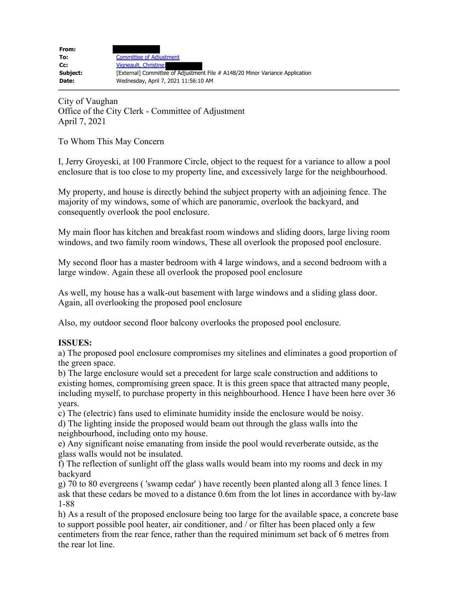| From:    |                                                                              |
|----------|------------------------------------------------------------------------------|
| To:      | <b>Committee of Adjustment</b>                                               |
| Cc:      | Vigneault, Christine;                                                        |
| Subject: | [External] Committee of Adjustment File # A148/20 Minor Variance Application |
| Date:    | Wednesday, April 7, 2021 11:56:10 AM                                         |
|          |                                                                              |

City of Vaughan Office of the City Clerk - Committee of Adjustment April 7, 2021

To Whom This May Concern

I, Jerry Groyeski, at 100 Franmore Circle, object to the request for a variance to allow a pool enclosure that is too close to my property line, and excessively large for the neighbourhood.

My property, and house is directly behind the subject property with an adjoining fence. The majority of my windows, some of which are panoramic, overlook the backyard, and consequently overlook the pool enclosure.

My main floor has kitchen and breakfast room windows and sliding doors, large living room windows, and two family room windows, These all overlook the proposed pool enclosure.

My second floor has a master bedroom with 4 large windows, and a second bedroom with a large window. Again these all overlook the proposed pool enclosure

As well, my house has a walk-out basement with large windows and a sliding glass door. Again, all overlooking the proposed pool enclosure

Also, my outdoor second floor balcony overlooks the proposed pool enclosure.

## **ISSUES:**

a) The proposed pool enclosure compromises my sitelines and eliminates a good proportion of the green space.

b) The large enclosure would set a precedent for large scale construction and additions to existing homes, compromising green space. It is this green space that attracted many people, including myself, to purchase property in this neighbourhood. Hence I have been here over 36 years.

c) The (electric) fans used to eliminate humidity inside the enclosure would be noisy. d) The lighting inside the proposed would beam out through the glass walls into the

neighbourhood, including onto my house.

e) Any significant noise emanating from inside the pool would reverberate outside, as the glass walls would not be insulated.

f) The reflection of sunlight off the glass walls would beam into my rooms and deck in my backyard

g) 70 to 80 evergreens ( 'swamp cedar' ) have recently been planted along all 3 fence lines. I ask that these cedars be moved to a distance 0.6m from the lot lines in accordance with by-law 1-88

h) As a result of the proposed enclosure being too large for the available space, a concrete base to support possible pool heater, air conditioner, and / or filter has been placed only a few centimeters from the rear fence, rather than the required minimum set back of 6 metres from the rear lot line.